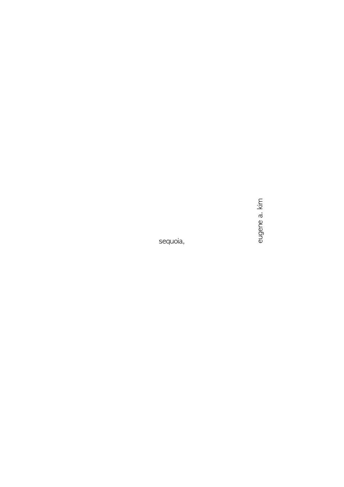eugene a. kim

sequoia,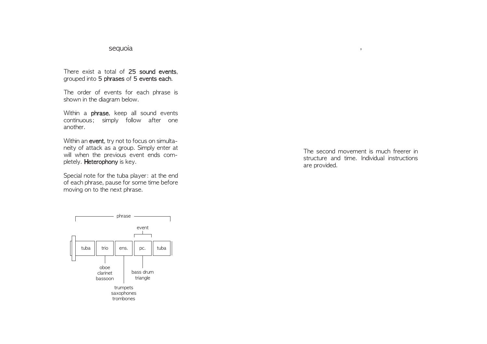## sequoia

There exist a total of 25 sound events, grouped into 5 phrases of 5 events each.

The order of events for each phrase is shown in the diagram below.

Within a **phrase**, keep all sound events continuous; simply follow after one another.

Within an event, try not to focus on simultaneity of attack as a group. Simply enter at will when the previous event ends completely. Heterophony is key.

Special note for the tuba player: at the end of each phrase, pause for some time before moving on to the next phrase.

The second movement is much freerer in structure and time. Individual instructions are provided.

,

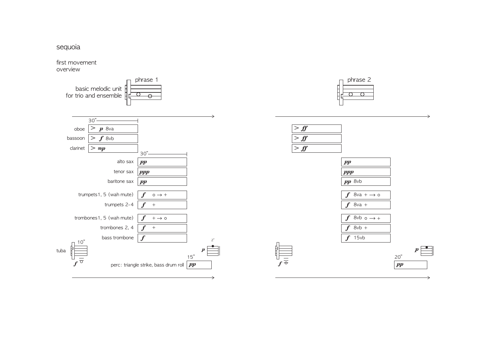sequoia

first movement overview

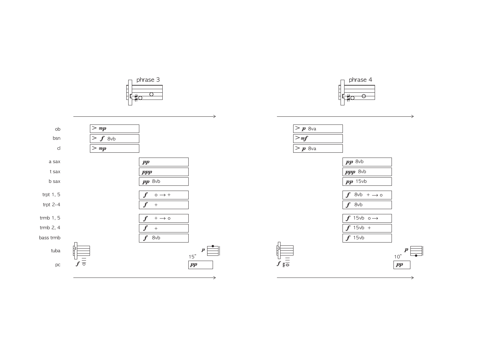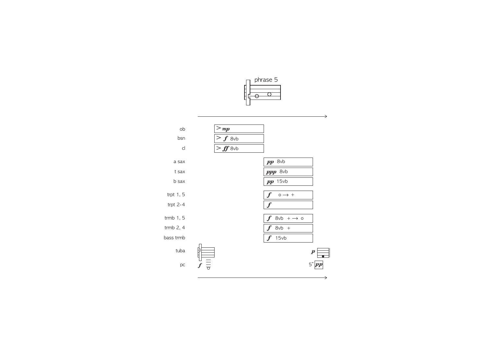